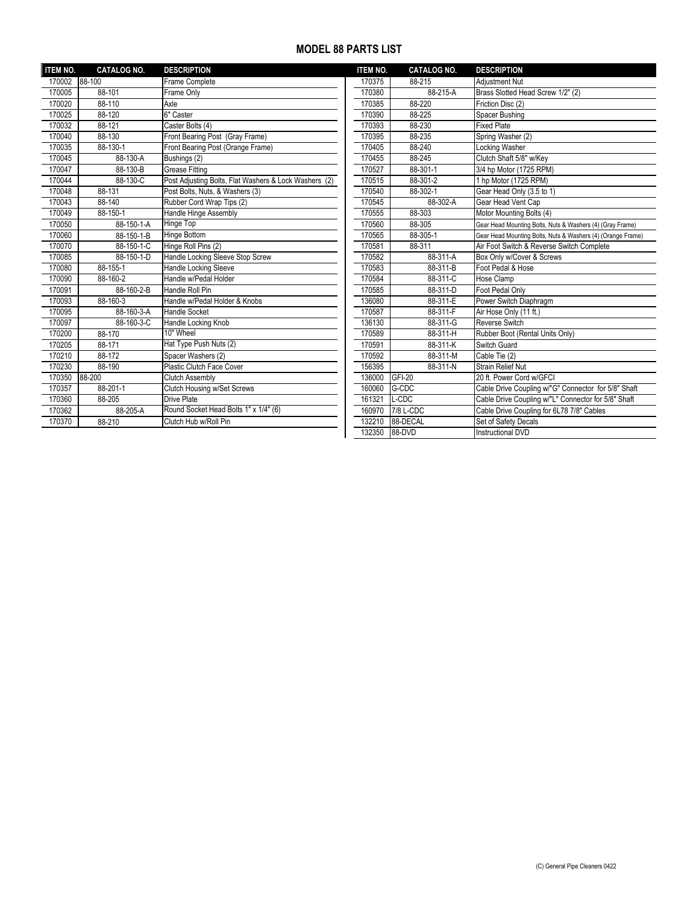## **MODEL 88 PARTS LIST**

| <b>ITEM NO.</b> | <b>CATALOG NO.</b> | <b>DESCRIPTION</b>                                    | <b>ITEM NO.</b> | <b>CATALOG NO.</b> | <b>DESCRIPTION</b>                                         |
|-----------------|--------------------|-------------------------------------------------------|-----------------|--------------------|------------------------------------------------------------|
| 170002          | 88-100             | Frame Complete                                        | 170375          | 88-215             | <b>Adiustment Nut</b>                                      |
| 170005          | 88-101             | Frame Only                                            | 170380          | 88-215-A           | Brass Slotted Head Screw 1/2" (2)                          |
| 170020          | 88-110             | Axle                                                  | 170385          | 88-220             | Friction Disc (2)                                          |
| 170025          | 88-120             | 6" Caster                                             | 170390          | 88-225             | Spacer Bushing                                             |
| 170032          | 88-121             | Caster Bolts (4)                                      | 170393          | 88-230             | <b>Fixed Plate</b>                                         |
| 170040          | 88-130             | Front Bearing Post (Gray Frame)                       | 170395          | 88-235             | Spring Washer (2)                                          |
| 170035          | 88-130-1           | Front Bearing Post (Orange Frame)                     | 170405          | 88-240             | <b>Locking Washer</b>                                      |
| 170045          | 88-130-A           | Bushings (2)                                          | 170455          | 88-245             | Clutch Shaft 5/8" w/Key                                    |
| 170047          | 88-130-B           | <b>Grease Fitting</b>                                 | 170527          | 88-301-1           | 3/4 hp Motor (1725 RPM)                                    |
| 170044          | 88-130-C           | Post Adjusting Bolts, Flat Washers & Lock Washers (2) | 170515          | 88-301-2           | 1 hp Motor (1725 RPM)                                      |
| 170048          | 88-131             | Post Bolts, Nuts, & Washers (3)                       | 170540          | 88-302-1           | Gear Head Only (3.5 to 1)                                  |
| 170043          | 88-140             | Rubber Cord Wrap Tips (2)                             | 170545          | 88-302-A           | Gear Head Vent Cap                                         |
| 170049          | 88-150-1           | Handle Hinge Assembly                                 | 170555          | 88-303             | Motor Mounting Bolts (4)                                   |
| 170050          | 88-150-1-A         | Hinge Top                                             | 170560          | 88-305             | Gear Head Mounting Bolts, Nuts & Washers (4) (Gray Frame)  |
| 170060          | 88-150-1-B         | <b>Hinge Bottom</b>                                   | 170565          | 88-305-1           | Gear Head Mounting Bolts, Nuts & Washers (4) (Orange Frame |
| 170070          | 88-150-1-C         | Hinge Roll Pins (2)                                   | 170581          | 88-311             | Air Foot Switch & Reverse Switch Complete                  |
| 170085          | 88-150-1-D         | Handle Locking Sleeve Stop Screw                      | 170582          | 88-311-A           | Box Only w/Cover & Screws                                  |
| 170080          | 88-155-1           | Handle Locking Sleeve                                 | 170583          | 88-311-B           | Foot Pedal & Hose                                          |
| 170090          | 88-160-2           | Handle w/Pedal Holder                                 | 170584          | 88-311-C           | Hose Clamp                                                 |
| 170091          | 88-160-2-B         | Handle Roll Pin                                       | 170585          | 88-311-D           | Foot Pedal Only                                            |
| 170093          | 88-160-3           | Handle w/Pedal Holder & Knobs                         | 136080          | 88-311-E           | Power Switch Diaphragm                                     |
| 170095          | 88-160-3-A         | <b>Handle Socket</b>                                  | 170587          | 88-311-F           | Air Hose Only (11 ft.)                                     |
| 170097          | 88-160-3-C         | Handle Locking Knob                                   | 136130          | 88-311-G           | <b>Reverse Switch</b>                                      |
| 170200          | 88-170             | 10" Wheel                                             | 170589          | 88-311-H           | Rubber Boot (Rental Units Only)                            |
| 170205          | 88-171             | Hat Type Push Nuts (2)                                | 170591          | 88-311-K           | Switch Guard                                               |
| 170210          | 88-172             | Spacer Washers (2)                                    | 170592          | 88-311-M           | Cable Tie (2)                                              |
| 170230          | 88-190             | Plastic Clutch Face Cover                             | 156395          | 88-311-N           | <b>Strain Relief Nut</b>                                   |
| 170350          | 88-200             | <b>Clutch Assembly</b>                                | 136000          | <b>GFI-20</b>      | 20 ft. Power Cord w/GFCI                                   |
| 170357          | 88-201-1           | Clutch Housing w/Set Screws                           | 160060          | G-CDC              | Cable Drive Coupling w/"G" Connector for 5/8" Shaft        |
| 170360          | 88-205             | <b>Drive Plate</b>                                    | 161321          | L-CDC              | Cable Drive Coupling w/"L" Connector for 5/8" Shaft        |
| 170362          | 88-205-A           | Round Socket Head Bolts 1" x 1/4" (6)                 | 160970          | 7/8 L-CDC          | Cable Drive Coupling for 6L78 7/8" Cables                  |
| 170370          | 88-210             | Clutch Hub w/Roll Pin                                 | 132210          | 88-DECAL           | Set of Safety Decals                                       |
|                 |                    |                                                       |                 |                    |                                                            |

| <b>ITEM NO.</b> | <b>CATALOG NO.</b> | <b>DESCRIPTION</b>                                          |
|-----------------|--------------------|-------------------------------------------------------------|
| 170375          | 88-215             | <b>Adjustment Nut</b>                                       |
| 170380          | 88-215-A           | Brass Slotted Head Screw 1/2" (2)                           |
| 170385          | 88-220             | Friction Disc (2)                                           |
| 170390          | 88-225             | Spacer Bushing                                              |
| 170393          | 88-230             | <b>Fixed Plate</b>                                          |
| 170395          | 88-235             | Spring Washer (2)                                           |
| 170405          | 88-240             | Locking Washer                                              |
| 170455          | 88-245             | Clutch Shaft 5/8" w/Key                                     |
| 170527          | 88-301-1           | 3/4 hp Motor (1725 RPM)                                     |
| 170515          | 88-301-2           | 1 hp Motor (1725 RPM)                                       |
| 170540          | 88-302-1           | Gear Head Only (3.5 to 1)                                   |
| 170545          | 88-302-A           | Gear Head Vent Cap                                          |
| 170555          | 88-303             | Motor Mounting Bolts (4)                                    |
| 170560          | 88-305             | Gear Head Mounting Bolts, Nuts & Washers (4) (Gray Frame)   |
| 170565          | 88-305-1           | Gear Head Mounting Bolts, Nuts & Washers (4) (Orange Frame) |
| 170581          | 88-311             | Air Foot Switch & Reverse Switch Complete                   |
| 170582          | 88-311-A           | Box Only w/Cover & Screws                                   |
| 170583          | 88-311-B           | Foot Pedal & Hose                                           |
| 170584          | 88-311-C           | Hose Clamp                                                  |
| 170585          | 88-311-D           | Foot Pedal Only                                             |
| 136080          | 88-311-E           | Power Switch Diaphragm                                      |
| 170587          | 88-311-F           | Air Hose Only (11 ft.)                                      |
| 136130          | 88-311-G           | Reverse Switch                                              |
| 170589          | 88-311-H           | Rubber Boot (Rental Units Only)                             |
| 170591          | 88-311-K           | Switch Guard                                                |
| 170592          | 88-311-M           | Cable Tie $(2)$                                             |
| 156395          | 88-311-N           | <b>Strain Relief Nut</b>                                    |
| 136000          | <b>GFI-20</b>      | 20 ft. Power Cord w/GFCI                                    |
| 160060          | G-CDC              | Cable Drive Coupling w/"G" Connector for 5/8" Shaft         |
| 161321          | L-CDC              | Cable Drive Coupling w/"L" Connector for 5/8" Shaft         |
| 160970          | 7/8 L-CDC          | Cable Drive Coupling for 6L78 7/8" Cables                   |
| 132210          | 88-DECAL           | Set of Safety Decals                                        |
| 132350          | 88-DVD             | Instructional DVD                                           |